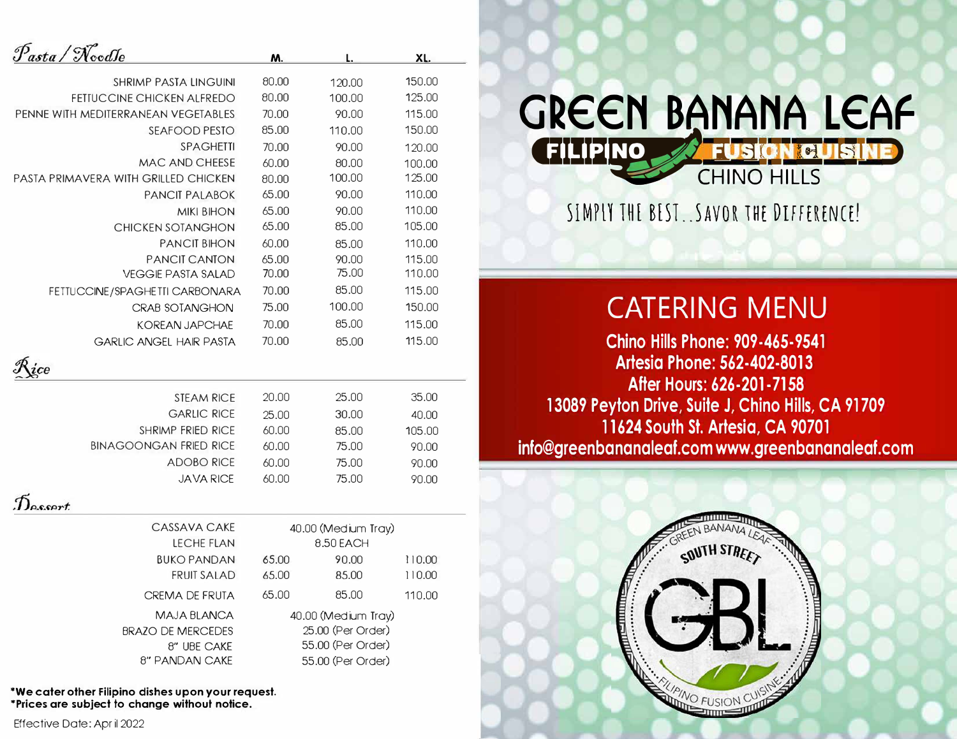| asta / NoodJe                        | M.                  | L.                  | XL.    |  |
|--------------------------------------|---------------------|---------------------|--------|--|
| <b>SHRIMP PASTA LINGUINI</b>         | 80.00               | 120.00              | 150,00 |  |
| FETIUCCINE CHICKEN ALFREDO           | 80.00               | 100.00              | 125.00 |  |
| PENNE WITH MEDITERRANEAN VEGETABLES  | 70.00               | 90.00               | 115.00 |  |
| SEAFOOD PESTO                        | 85.00               | 110.00              | 150.00 |  |
| <b>SPAGHETTI</b>                     | 70.00               | 90.00               | 120.00 |  |
| <b>MAC AND CHEESE</b>                | 60.00               | 80.00               | 100.00 |  |
| PASTA PRIMAVERA WITH GRILLED CHICKEN | 80.00               | 100.00              | 125.00 |  |
| <b>PANCIT PALABOK</b>                | 65.00               | 90.00               | 110.00 |  |
| <b>MIKI BIHON</b>                    | 65.00               | 90.00               | 110.00 |  |
| <b>CHICKEN SOTANGHON</b>             | 65.00               | 85.00               | 105.00 |  |
| <b>PANCIT BIHON</b>                  | 60.00               | 85.00               | 110.00 |  |
| <b>PANCIT CANTON</b>                 | 65.00               | 90.00               | 115.00 |  |
| <b>VEGGIE PASTA SALAD</b>            | 70.00               | 75.00               | 110.00 |  |
| FETTUCCINE/SPAGHETTI CARBONARA       | 70.00               | 85.00               | 115.00 |  |
| <b>CRAB SOTANGHON</b>                | 75.00               | 100.00              | 150.00 |  |
| <b>KOREAN JAPCHAE</b>                | 70.00               | 85.00               | 115.00 |  |
| <b>GARLIC ANGEL HAIR PASTA</b>       | 70.00               | 85.00               | 115.00 |  |
|                                      |                     |                     |        |  |
| <b>STEAM RICE</b>                    | 20,00               | 25.00               | 35.00  |  |
| <b>GARLIC RICE</b>                   | 25.00               | 30.00               | 40.00  |  |
| <b>SHRIMP FRIED RICE</b>             | 60.00               | 85.00               | 105.00 |  |
| <b>BINAGOONGAN FRIED RICE</b>        | 60.00               | 75.00               | 90.00  |  |
| <b>ADOBO RICE</b>                    | 60.00               | 75.00               | 90.00  |  |
| <b>JAVA RICE</b>                     | 60.00               | 75.00               | 90.00  |  |
| Lesort                               |                     |                     |        |  |
| CASSAVA CAKE                         |                     | 40.00 (Medium Tray) |        |  |
| <b>LECHE FLAN</b>                    |                     | 8.50 EACH           |        |  |
| <b>BUKO PANDAN</b>                   | 65.00               | 90.00               | 110.00 |  |
| <b>FRUIT SALAD</b>                   | 65.00               | 85.00               | 110.00 |  |
| <b>CREMA DE FRUTA</b>                | 65.00               | 85.00               | 110.00 |  |
| MAJA BLANCA                          | 40.00 (Medium Tray) |                     |        |  |
| <b>BRAZO DE MERCEDES</b>             | 25.00 (Per Order)   |                     |        |  |
| 8" UBE CAKE                          | 55.00 (Per Order)   |                     |        |  |
| 8" PANDAN CAKE                       | 55.00 (Per Order)   |                     |        |  |

**\*We cater other Filipino dishes upon your request. \*Prices are subject to change without notice.**

## **GREEN BANANA LEAF**

**CHINO HILLS** 

**SlMrll TH[ B[ST . .SAVOR 1HE DIFFERENCE!** 

## **CATERING MENU**

**Chino Hills Phone: 909-465-9541 Artesia Phone: 562-402-8013 After Hours: 626-201-7158 13089 Peyton Drive, Suite J, Chino Hills, CA 91709 11624 South St. Artesia, CA 90701 info@greenbananaleaf.com www.greenbananaleaf.com**